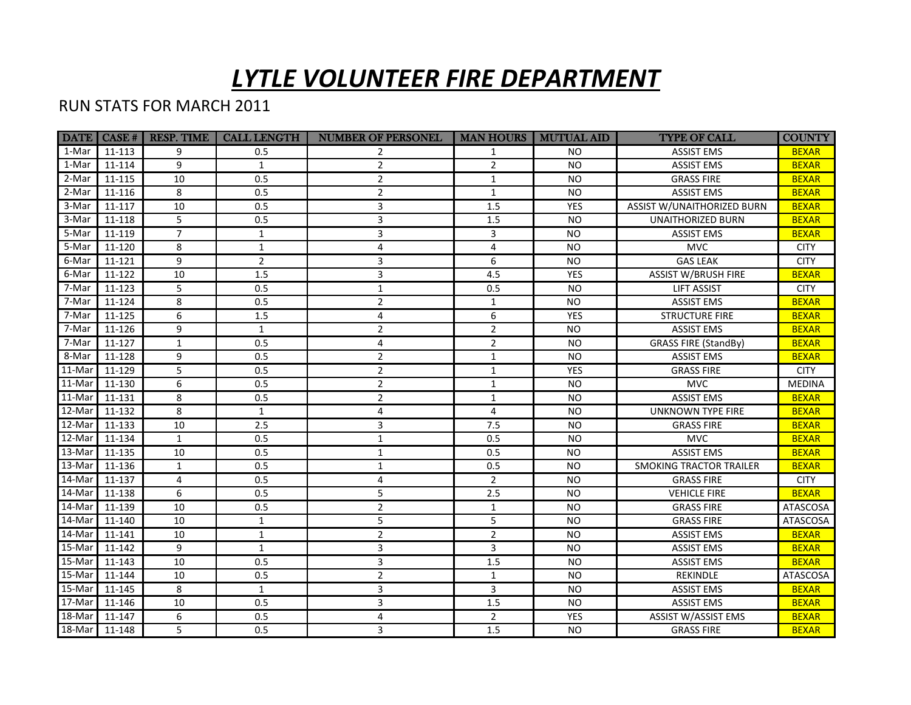## *LYTLE VOLUNTEER FIRE DEPARTMENT*

## RUN STATS FOR MARCH 2011

|                  | DATE   CASE # | <b>RESP. TIME</b> | <b>CALL LENGTH</b> | <b>NUMBER OF PERSONEL</b> |                | <b>MAN HOURS   MUTUAL AID</b> | <b>TYPE OF CALL</b>            | <b>COUNTY</b>   |
|------------------|---------------|-------------------|--------------------|---------------------------|----------------|-------------------------------|--------------------------------|-----------------|
| 1-Mar            | 11-113        | 9                 | 0.5                | 2                         | $\mathbf{1}$   | NO.                           | <b>ASSIST EMS</b>              | <b>BEXAR</b>    |
| 1-Mar            | 11-114        | 9                 | $\mathbf{1}$       | $\overline{2}$            | $\overline{2}$ | <b>NO</b>                     | <b>ASSIST EMS</b>              | <b>BEXAR</b>    |
| 2-Mar            | 11-115        | 10                | 0.5                | $\overline{2}$            | $\mathbf{1}$   | <b>NO</b>                     | <b>GRASS FIRE</b>              | <b>BEXAR</b>    |
| 2-Mar            | 11-116        | 8                 | 0.5                | $\overline{2}$            | $\mathbf{1}$   | <b>NO</b>                     | <b>ASSIST EMS</b>              | <b>BEXAR</b>    |
| 3-Mar            | 11-117        | 10                | 0.5                | 3                         | 1.5            | <b>YES</b>                    | ASSIST W/UNAITHORIZED BURN     | <b>BEXAR</b>    |
| 3-Mar            | 11-118        | 5                 | 0.5                | 3                         | 1.5            | <b>NO</b>                     | <b>UNAITHORIZED BURN</b>       | <b>BEXAR</b>    |
| 5-Mar            | 11-119        | $\overline{7}$    | $\mathbf{1}$       | 3                         | 3              | <b>NO</b>                     | <b>ASSIST EMS</b>              | <b>BEXAR</b>    |
| 5-Mar            | 11-120        | 8                 | $\mathbf{1}$       | 4                         | 4              | <b>NO</b>                     | <b>MVC</b>                     | <b>CITY</b>     |
| 6-Mar            | 11-121        | 9                 | $\overline{2}$     | 3                         | 6              | <b>NO</b>                     | <b>GAS LEAK</b>                | <b>CITY</b>     |
| 6-Mar            | 11-122        | 10                | $1.5\,$            | 3                         | 4.5            | YES                           | <b>ASSIST W/BRUSH FIRE</b>     | <b>BEXAR</b>    |
| 7-Mar            | 11-123        | 5                 | 0.5                | $\mathbf{1}$              | 0.5            | <b>NO</b>                     | <b>LIFT ASSIST</b>             | <b>CITY</b>     |
| 7-Mar            | 11-124        | 8                 | 0.5                | $\overline{2}$            | $\mathbf{1}$   | <b>NO</b>                     | <b>ASSIST EMS</b>              | <b>BEXAR</b>    |
| 7-Mar            | 11-125        | 6                 | $1.5\,$            | 4                         | 6              | YES                           | <b>STRUCTURE FIRE</b>          | <b>BEXAR</b>    |
| 7-Mar            | 11-126        | 9                 | $\mathbf{1}$       | $\overline{2}$            | $\overline{2}$ | <b>NO</b>                     | <b>ASSIST EMS</b>              | <b>BEXAR</b>    |
| 7-Mar            | 11-127        | $\mathbf{1}$      | 0.5                | 4                         | $\overline{2}$ | <b>NO</b>                     | <b>GRASS FIRE (StandBy)</b>    | <b>BEXAR</b>    |
| 8-Mar            | 11-128        | 9                 | 0.5                | $\overline{2}$            | $\mathbf{1}$   | <b>NO</b>                     | <b>ASSIST EMS</b>              | <b>BEXAR</b>    |
| $11-Mar$         | 11-129        | 5                 | 0.5                | $\overline{2}$            | $\mathbf{1}$   | <b>YES</b>                    | <b>GRASS FIRE</b>              | <b>CITY</b>     |
| $11-Mar$         | 11-130        | 6                 | 0.5                | $\overline{2}$            | $\mathbf{1}$   | <b>NO</b>                     | <b>MVC</b>                     | <b>MEDINA</b>   |
| $11-Mar$         | 11-131        | 8                 | 0.5                | $\overline{2}$            | $\mathbf{1}$   | <b>NO</b>                     | <b>ASSIST EMS</b>              | <b>BEXAR</b>    |
| $\sqrt{12}$ -Mar | 11-132        | 8                 | $\mathbf{1}$       | 4                         | 4              | <b>NO</b>                     | <b>UNKNOWN TYPE FIRE</b>       | <b>BEXAR</b>    |
| 12-Mar           | 11-133        | 10                | 2.5                | 3                         | 7.5            | <b>NO</b>                     | <b>GRASS FIRE</b>              | <b>BEXAR</b>    |
| 12-Mar           | 11-134        | $\mathbf{1}$      | 0.5                | $\mathbf{1}$              | 0.5            | N <sub>O</sub>                | <b>MVC</b>                     | <b>BEXAR</b>    |
| $13-Mar$         | 11-135        | 10                | 0.5                | $\mathbf{1}$              | 0.5            | <b>NO</b>                     | <b>ASSIST EMS</b>              | <b>BEXAR</b>    |
| $13-Mar$         | 11-136        | $\mathbf{1}$      | 0.5                | $\mathbf{1}$              | 0.5            | <b>NO</b>                     | <b>SMOKING TRACTOR TRAILER</b> | <b>BEXAR</b>    |
| $\sqrt{14-Mar}$  | 11-137        | 4                 | 0.5                | 4                         | $\overline{2}$ | <b>NO</b>                     | <b>GRASS FIRE</b>              | <b>CITY</b>     |
| $\sqrt{14}$ -Mar | 11-138        | 6                 | 0.5                | 5                         | 2.5            | <b>NO</b>                     | <b>VEHICLE FIRE</b>            | <b>BEXAR</b>    |
| $\sqrt{14}$ -Mar | 11-139        | 10                | 0.5                | $\overline{2}$            | $\mathbf{1}$   | <b>NO</b>                     | <b>GRASS FIRE</b>              | <b>ATASCOSA</b> |
| $\sqrt{14}$ -Mar | 11-140        | 10                | $\mathbf{1}$       | 5                         | 5              | <b>NO</b>                     | <b>GRASS FIRE</b>              | <b>ATASCOSA</b> |
| $\sqrt{14}$ -Mar | 11-141        | 10                | $\mathbf{1}$       | $\overline{2}$            | $\overline{2}$ | <b>NO</b>                     | <b>ASSIST EMS</b>              | <b>BEXAR</b>    |
| 15-Mar           | 11-142        | 9                 | $\mathbf{1}$       | 3                         | 3              | <b>NO</b>                     | <b>ASSIST EMS</b>              | <b>BEXAR</b>    |
| $15$ -Mar        | 11-143        | 10                | 0.5                | 3                         | 1.5            | <b>NO</b>                     | <b>ASSIST EMS</b>              | <b>BEXAR</b>    |
| $15$ -Mar        | 11-144        | 10                | 0.5                | $\overline{2}$            | $\mathbf{1}$   | <b>NO</b>                     | REKINDLE                       | <b>ATASCOSA</b> |
| $15-Mar$         | 11-145        | 8                 | 1                  | 3                         | 3              | <b>NO</b>                     | <b>ASSIST EMS</b>              | <b>BEXAR</b>    |
| $17$ -Mar        | 11-146        | 10                | 0.5                | 3                         | 1.5            | <b>NO</b>                     | <b>ASSIST EMS</b>              | <b>BEXAR</b>    |
| 18-Mar           | 11-147        | 6                 | 0.5                | 4                         | $\overline{2}$ | <b>YES</b>                    | ASSIST W/ASSIST EMS            | <b>BEXAR</b>    |
| $18-Mar$         | 11-148        | 5                 | 0.5                | 3                         | 1.5            | <b>NO</b>                     | <b>GRASS FIRE</b>              | <b>BEXAR</b>    |